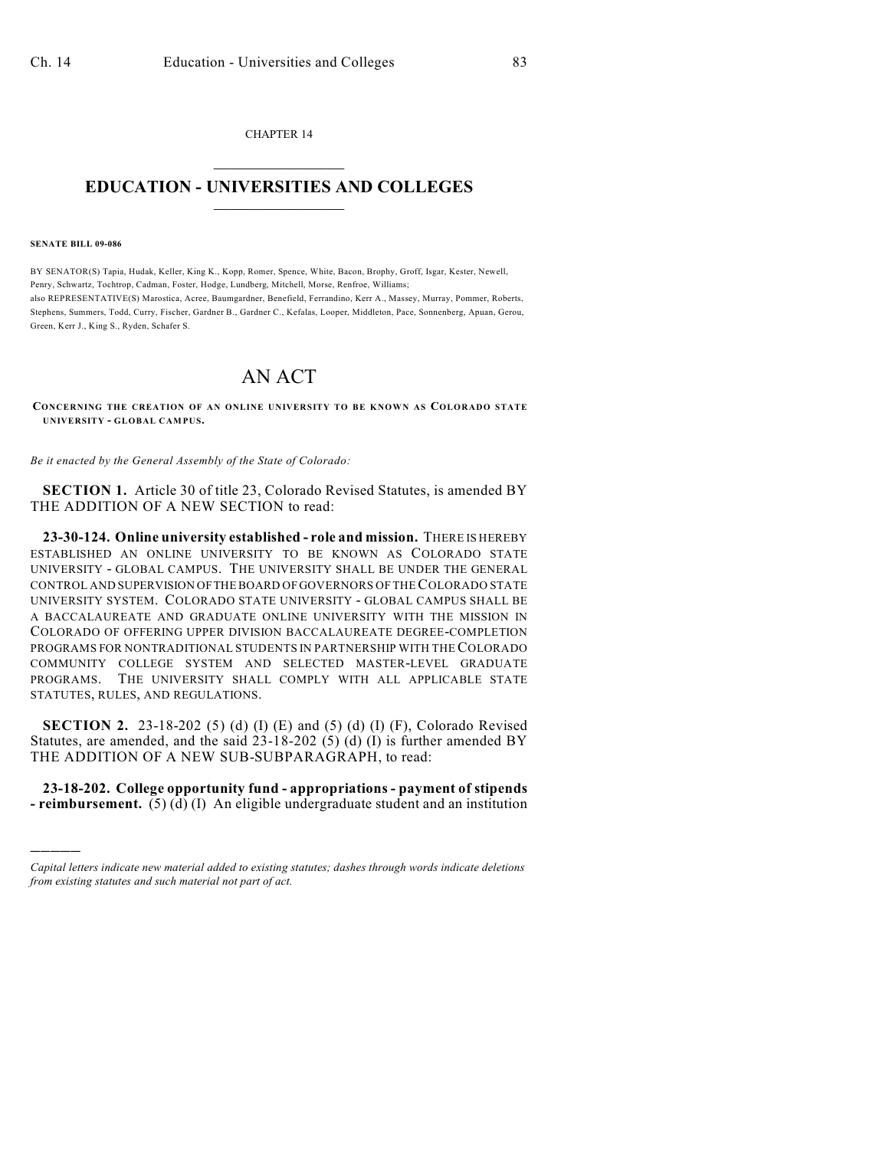CHAPTER 14  $\mathcal{L}_\text{max}$  . The set of the set of the set of the set of the set of the set of the set of the set of the set of the set of the set of the set of the set of the set of the set of the set of the set of the set of the set

## **EDUCATION - UNIVERSITIES AND COLLEGES**  $\frac{1}{2}$  ,  $\frac{1}{2}$  ,  $\frac{1}{2}$  ,  $\frac{1}{2}$  ,  $\frac{1}{2}$  ,  $\frac{1}{2}$  ,  $\frac{1}{2}$

## **SENATE BILL 09-086**

)))))

BY SENATOR(S) Tapia, Hudak, Keller, King K., Kopp, Romer, Spence, White, Bacon, Brophy, Groff, Isgar, Kester, Newell, Penry, Schwartz, Tochtrop, Cadman, Foster, Hodge, Lundberg, Mitchell, Morse, Renfroe, Williams; also REPRESENTATIVE(S) Marostica, Acree, Baumgardner, Benefield, Ferrandino, Kerr A., Massey, Murray, Pommer, Roberts, Stephens, Summers, Todd, Curry, Fischer, Gardner B., Gardner C., Kefalas, Looper, Middleton, Pace, Sonnenberg, Apuan, Gerou, Green, Kerr J., King S., Ryden, Schafer S.

## AN ACT

**CONCERNING THE CREATION OF AN ONLINE UNIVERSITY TO BE KNOWN AS COLORADO STATE UNIVERSITY - GLOBAL CAMPUS.**

*Be it enacted by the General Assembly of the State of Colorado:*

**SECTION 1.** Article 30 of title 23, Colorado Revised Statutes, is amended BY THE ADDITION OF A NEW SECTION to read:

**23-30-124. Online university established - role and mission.** THERE IS HEREBY ESTABLISHED AN ONLINE UNIVERSITY TO BE KNOWN AS COLORADO STATE UNIVERSITY - GLOBAL CAMPUS. THE UNIVERSITY SHALL BE UNDER THE GENERAL CONTROL AND SUPERVISION OF THE BOARD OF GOVERNORS OF THE COLORADO STATE UNIVERSITY SYSTEM. COLORADO STATE UNIVERSITY - GLOBAL CAMPUS SHALL BE A BACCALAUREATE AND GRADUATE ONLINE UNIVERSITY WITH THE MISSION IN COLORADO OF OFFERING UPPER DIVISION BACCALAUREATE DEGREE-COMPLETION PROGRAMS FOR NONTRADITIONAL STUDENTS IN PARTNERSHIP WITH THE COLORADO COMMUNITY COLLEGE SYSTEM AND SELECTED MASTER-LEVEL GRADUATE PROGRAMS. THE UNIVERSITY SHALL COMPLY WITH ALL APPLICABLE STATE STATUTES, RULES, AND REGULATIONS.

**SECTION 2.** 23-18-202 (5) (d) (I) (E) and (5) (d) (I) (F), Colorado Revised Statutes, are amended, and the said 23-18-202 (5) (d) (I) is further amended BY THE ADDITION OF A NEW SUB-SUBPARAGRAPH, to read:

**23-18-202. College opportunity fund - appropriations - payment of stipends - reimbursement.** (5) (d) (I) An eligible undergraduate student and an institution

*Capital letters indicate new material added to existing statutes; dashes through words indicate deletions from existing statutes and such material not part of act.*